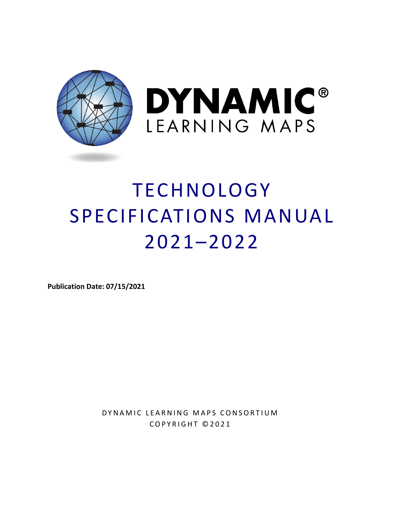

# TECHNOLOGY SPECIFICATIONS MANUAL 2021–2022

**Publication Date: 07/15/2021** 

DYNAMIC LEARNING MAPS CONSORTIUM COPYRIGHT ©202 1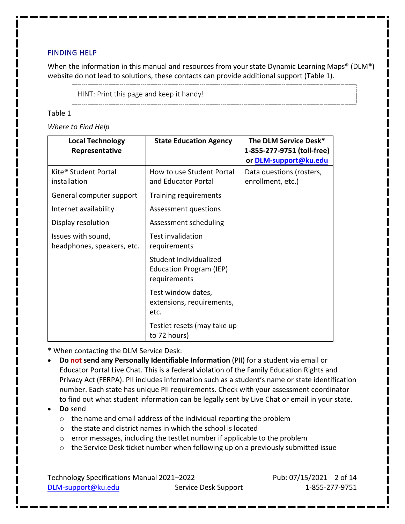#### <span id="page-1-1"></span>FINDING HELP

When the information in this manual and resources from your state Dynamic Learning Maps® (DLM®) website do not lead to solutions, these contacts can provide additional support [\(Table 1\)](#page-1-0).

HINT: Print this page and keep it handy!

#### <span id="page-1-0"></span>Table 1

*Where to Find Help*

| <b>Local Technology</b><br>Representative        | <b>State Education Agency</b>                                     | The DLM Service Desk*<br>1-855-277-9751 (toll-free)<br>or DLM-support@ku.edu |
|--------------------------------------------------|-------------------------------------------------------------------|------------------------------------------------------------------------------|
| Kite <sup>®</sup> Student Portal<br>installation | How to use Student Portal<br>and Educator Portal                  | Data questions (rosters,<br>enrollment, etc.)                                |
| General computer support                         | <b>Training requirements</b>                                      |                                                                              |
| Internet availability                            | Assessment questions                                              |                                                                              |
| Display resolution                               | Assessment scheduling                                             |                                                                              |
| Issues with sound,<br>headphones, speakers, etc. | <b>Test invalidation</b><br>requirements                          |                                                                              |
|                                                  | Student Individualized<br>Education Program (IEP)<br>requirements |                                                                              |
|                                                  | Test window dates,<br>extensions, requirements,<br>etc.           |                                                                              |
|                                                  | Testlet resets (may take up<br>to 72 hours)                       |                                                                              |

\* When contacting the DLM Service Desk:

- **Do not send any Personally Identifiable Information** (PII) for a student via email or Educator Portal Live Chat. This is a federal violation of the Family Education Rights and Privacy Act (FERPA). PII includes information such as a student's name or state identification number. Each state has unique PII requirements. Check with your assessment coordinator to find out what student information can be legally sent by Live Chat or email in your state.
- **Do** send
	- o the name and email address of the individual reporting the problem
	- o the state and district names in which the school is located
	- $\circ$  error messages, including the testlet number if applicable to the problem
	- o the Service Desk ticket number when following up on a previously submitted issue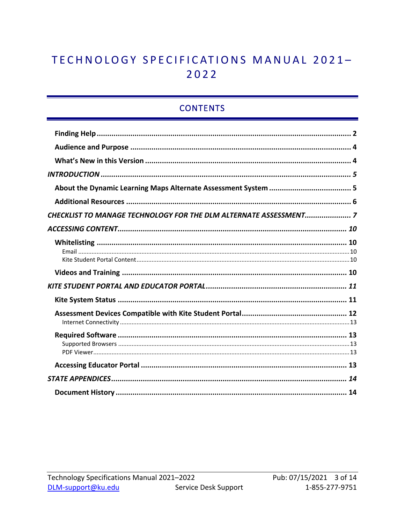## TECHNOLOGY SPECIFICATIONS MANUAL 2021-2022

## **CONTENTS**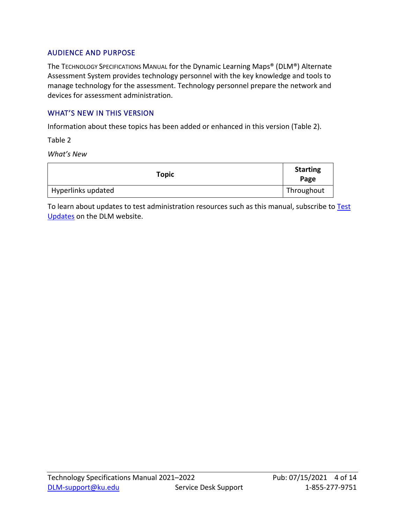#### <span id="page-3-0"></span>AUDIENCE AND PURPOSE

The TECHNOLOGY SPECIFICATIONS MANUAL for the Dynamic Learning Maps® (DLM®) Alternate Assessment System provides technology personnel with the key knowledge and tools to manage technology for the assessment. Technology personnel prepare the network and devices for assessment administration.

#### <span id="page-3-1"></span>WHAT'S NEW IN THIS VERSION

Information about these topics has been added or enhanced in this version [\(Table 2\)](#page-3-2).

<span id="page-3-2"></span>Table 2

*What's New*

| <b>Topic</b>       | <b>Starting</b><br>Page |
|--------------------|-------------------------|
| Hyperlinks updated | Throughout              |

To learn about updates to test administration resources such as this manual, subscribe to Test [Updates](https://dynamiclearningmaps.org/test-updates) on the DLM website.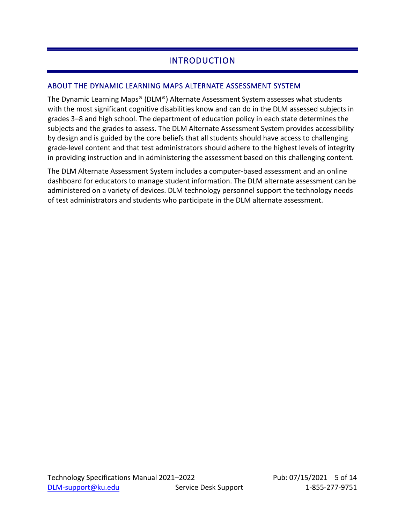## INTRODUCTION

#### <span id="page-4-1"></span><span id="page-4-0"></span>ABOUT THE DYNAMIC LEARNING MAPS ALTERNATE ASSESSMENT SYSTEM

The Dynamic Learning Maps® (DLM®) Alternate Assessment System assesses what students with the most significant cognitive disabilities know and can do in the DLM assessed subjects in grades 3–8 and high school. The department of education policy in each state determines the subjects and the grades to assess. The DLM Alternate Assessment System provides accessibility by design and is guided by the core beliefs that all students should have access to challenging grade-level content and that test administrators should adhere to the highest levels of integrity in providing instruction and in administering the assessment based on this challenging content.

The DLM Alternate Assessment System includes a computer-based assessment and an online dashboard for educators to manage student information. The DLM alternate assessment can be administered on a variety of devices. DLM technology personnel support the technology needs of test administrators and students who participate in the DLM alternate assessment.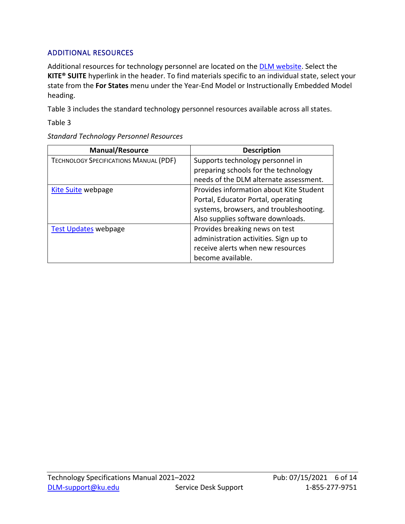#### <span id="page-5-0"></span>ADDITIONAL RESOURCES

Additional resources for technology personnel are located on the **DLM website**. Select the **KITE® SUITE** hyperlink in the header. To find materials specific to an individual state, select your state from the **For States** menu under the Year-End Model or Instructionally Embedded Model heading.

[Table 3](#page-5-1) includes the standard technology personnel resources available across all states.

<span id="page-5-1"></span>Table 3

| <b>Manual/Resource</b>                        | <b>Description</b>                      |
|-----------------------------------------------|-----------------------------------------|
| <b>TECHNOLOGY SPECIFICATIONS MANUAL (PDF)</b> | Supports technology personnel in        |
|                                               | preparing schools for the technology    |
|                                               | needs of the DLM alternate assessment.  |
| <b>Kite Suite webpage</b>                     | Provides information about Kite Student |
|                                               | Portal, Educator Portal, operating      |
|                                               | systems, browsers, and troubleshooting. |
|                                               | Also supplies software downloads.       |
| <b>Test Updates webpage</b>                   | Provides breaking news on test          |
|                                               | administration activities. Sign up to   |
|                                               | receive alerts when new resources       |
|                                               | become available.                       |

*Standard Technology Personnel Resources*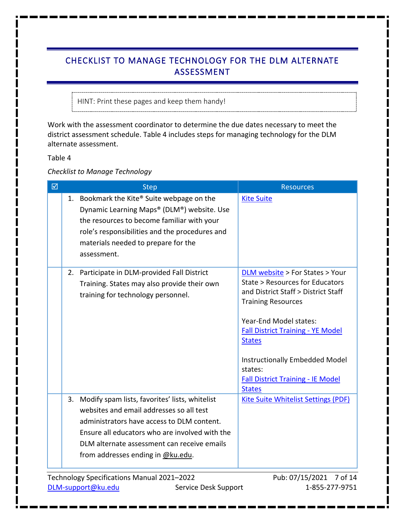## <span id="page-6-0"></span>CHECKLIST TO MANAGE TECHNOLOGY FOR THE DLM ALTERNATE ASSESSMENT

HINT: Print these pages and keep them handy!

Work with the assessment coordinator to determine the due dates necessary to meet the district assessment schedule. [Table 4](#page-6-1) includes steps for managing technology for the DLM alternate assessment.

<span id="page-6-1"></span>Table 4

*Checklist to Manage Technology*

| ☑ | <b>Step</b>                                                                                                                                                                                                                                                                       | <b>Resources</b>                                                                                                                                                                                                                                                                                                                               |
|---|-----------------------------------------------------------------------------------------------------------------------------------------------------------------------------------------------------------------------------------------------------------------------------------|------------------------------------------------------------------------------------------------------------------------------------------------------------------------------------------------------------------------------------------------------------------------------------------------------------------------------------------------|
|   | 1. Bookmark the Kite® Suite webpage on the<br>Dynamic Learning Maps® (DLM®) website. Use<br>the resources to become familiar with your<br>role's responsibilities and the procedures and<br>materials needed to prepare for the<br>assessment.                                    | <b>Kite Suite</b>                                                                                                                                                                                                                                                                                                                              |
|   | 2. Participate in DLM-provided Fall District<br>Training. States may also provide their own<br>training for technology personnel.                                                                                                                                                 | <b>DLM website</b> > For States > Your<br>State > Resources for Educators<br>and District Staff > District Staff<br><b>Training Resources</b><br>Year-End Model states:<br><b>Fall District Training - YE Model</b><br><b>States</b><br>Instructionally Embedded Model<br>states:<br><b>Fall District Training - IE Model</b><br><b>States</b> |
|   | 3. Modify spam lists, favorites' lists, whitelist<br>websites and email addresses so all test<br>administrators have access to DLM content.<br>Ensure all educators who are involved with the<br>DLM alternate assessment can receive emails<br>from addresses ending in @ku.edu. | <b>Kite Suite Whitelist Settings (PDF)</b>                                                                                                                                                                                                                                                                                                     |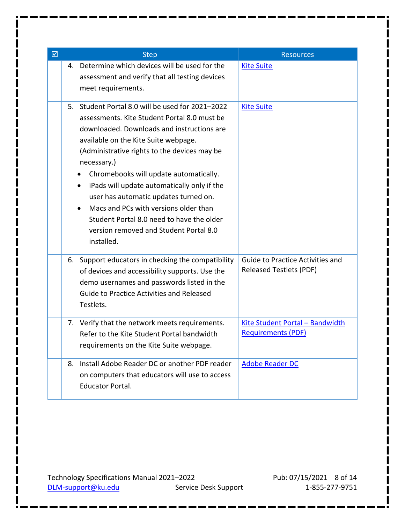| ☑ |    | <b>Step</b>                                                                                                                                                                                                                                                                                                                                                                                                                                                                                                                                          | <b>Resources</b>                                                   |
|---|----|------------------------------------------------------------------------------------------------------------------------------------------------------------------------------------------------------------------------------------------------------------------------------------------------------------------------------------------------------------------------------------------------------------------------------------------------------------------------------------------------------------------------------------------------------|--------------------------------------------------------------------|
|   | 4. | Determine which devices will be used for the<br>assessment and verify that all testing devices<br>meet requirements.                                                                                                                                                                                                                                                                                                                                                                                                                                 | <b>Kite Suite</b>                                                  |
|   | 5. | Student Portal 8.0 will be used for 2021-2022<br>assessments. Kite Student Portal 8.0 must be<br>downloaded. Downloads and instructions are<br>available on the Kite Suite webpage.<br>(Administrative rights to the devices may be<br>necessary.)<br>Chromebooks will update automatically.<br>iPads will update automatically only if the<br>٠<br>user has automatic updates turned on.<br>Macs and PCs with versions older than<br>$\bullet$<br>Student Portal 8.0 need to have the older<br>version removed and Student Portal 8.0<br>installed. | <b>Kite Suite</b>                                                  |
|   |    | 6. Support educators in checking the compatibility<br>of devices and accessibility supports. Use the<br>demo usernames and passwords listed in the<br><b>Guide to Practice Activities and Released</b><br>Testlets.                                                                                                                                                                                                                                                                                                                                  | <b>Guide to Practice Activities and</b><br>Released Testlets (PDF) |
|   | 7. | Verify that the network meets requirements.<br>Refer to the Kite Student Portal bandwidth<br>requirements on the Kite Suite webpage.                                                                                                                                                                                                                                                                                                                                                                                                                 | Kite Student Portal - Bandwidth<br><b>Requirements (PDF)</b>       |
|   | 8. | Install Adobe Reader DC or another PDF reader<br>on computers that educators will use to access<br><b>Educator Portal.</b>                                                                                                                                                                                                                                                                                                                                                                                                                           | <b>Adobe Reader DC</b>                                             |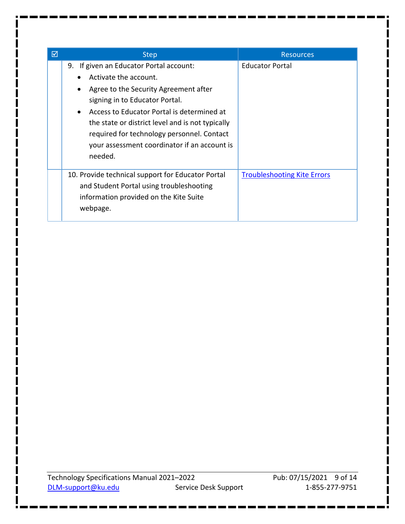| ☑ | <b>Step</b>                                                                                                                                                                                                                                                                                                                                                                                   | <b>Resources</b>                   |
|---|-----------------------------------------------------------------------------------------------------------------------------------------------------------------------------------------------------------------------------------------------------------------------------------------------------------------------------------------------------------------------------------------------|------------------------------------|
|   | 9. If given an Educator Portal account:<br>Activate the account.<br>$\bullet$<br>Agree to the Security Agreement after<br>$\bullet$<br>signing in to Educator Portal.<br>Access to Educator Portal is determined at<br>$\bullet$<br>the state or district level and is not typically<br>required for technology personnel. Contact<br>your assessment coordinator if an account is<br>needed. | <b>Educator Portal</b>             |
|   | 10. Provide technical support for Educator Portal<br>and Student Portal using troubleshooting<br>information provided on the Kite Suite<br>webpage.                                                                                                                                                                                                                                           | <b>Troubleshooting Kite Errors</b> |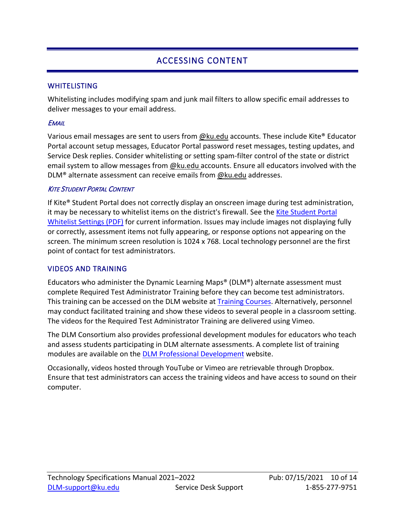## ACCESSING CONTENT

#### <span id="page-9-1"></span><span id="page-9-0"></span>WHITELISTING

Whitelisting includes modifying spam and junk mail filters to allow specific email addresses to deliver messages to your email address.

#### <span id="page-9-2"></span>**EMAIL**

Various email messages are sent to users from @ku.edu accounts. These include Kite® Educator Portal account setup messages, Educator Portal password reset messages, testing updates, and Service Desk replies. Consider whitelisting or setting spam-filter control of the state or district email system to allow messages from @ku.edu accounts. Ensure all educators involved with the DLM® alternate assessment can receive emails from @ku.edu addresses.

#### <span id="page-9-3"></span>**KITE STUDENT PORTAL CONTENT**

If Kite® Student Portal does not correctly display an onscreen image during test administration, it may be necessary to whitelist items on the district's firewall. See the [Kite Student Portal](https://dynamiclearningmaps.org/sites/default/files/documents/Kite_Suite_Whitelist_Settings.pdf)  [Whitelist Settings \(PDF\)](https://dynamiclearningmaps.org/sites/default/files/documents/Kite_Suite_Whitelist_Settings.pdf) for current information. Issues may include images not displaying fully or correctly, assessment items not fully appearing, or response options not appearing on the screen. The minimum screen resolution is 1024 x 768. Local technology personnel are the first point of contact for test administrators.

#### <span id="page-9-4"></span>VIDEOS AND TRAINING

Educators who administer the Dynamic Learning Maps® (DLM®) alternate assessment must complete Required Test Administrator Training before they can become test administrators. This training can be accessed on the DLM website at **Training Courses**. Alternatively, personnel may conduct facilitated training and show these videos to several people in a classroom setting. The videos for the Required Test Administrator Training are delivered using Vimeo.

The DLM Consortium also provides professional development modules for educators who teach and assess students participating in DLM alternate assessments. A complete list of training modules are available on the [DLM Professional Development w](https://www.dlmpd.com/)ebsite.

Occasionally, videos hosted through YouTube or Vimeo are retrievable through Dropbox. Ensure that test administrators can access the training videos and have access to sound on their computer.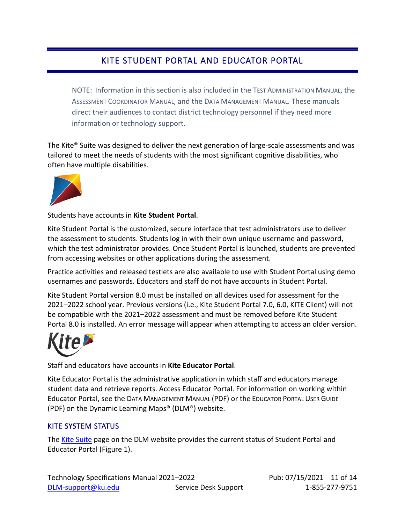## KITE STUDENT PORTAL AND EDUCATOR PORTAL

<span id="page-10-0"></span>NOTE: Information in this section is also included in the TEST ADMINISTRATION MANUAL, the ASSESSMENT COORDINATOR MANUAL, and the DATA MANAGEMENT MANUAL. These manuals direct their audiences to contact district technology personnel if they need more information or technology support.

The Kite® Suite was designed to deliver the next generation of large-scale assessments and was tailored to meet the needs of students with the most significant cognitive disabilities, who often have multiple disabilities.



Students have accounts in **Kite Student Portal**.

Kite Student Portal is the customized, secure interface that test administrators use to deliver the assessment to students. Students log in with their own unique username and password, which the test administrator provides. Once Student Portal is launched, students are prevented from accessing websites or other applications during the assessment.

Practice activities and released testlets are also available to use with Student Portal using demo usernames and passwords. Educators and staff do not have accounts in Student Portal.

Kite Student Portal version 8.0 must be installed on all devices used for assessment for the 2021–2022 school year. Previous versions (i.e., Kite Student Portal 7.0, 6.0, KITE Client) will not be compatible with the 2021–2022 assessment and must be removed before Kite Student Portal 8.0 is installed. An error message will appear when attempting to access an older version.



Staff and educators have accounts in **Kite Educator Portal**.

Kite Educator Portal is the administrative application in which staff and educators manage student data and retrieve reports. Access Educator Portal. For information on working within Educator Portal, see the DATA MANAGEMENT MANUAL (PDF) or the EDUCATOR PORTAL USER GUIDE (PDF) on the Dynamic Learning Maps® (DLM®) website.

#### <span id="page-10-1"></span>KITE SYSTEM STATUS

The Kite [Suite](https://dynamiclearningmaps.org/kite) page on the DLM website provides the current status of Student Portal and Educator Portal [\(Figure 1\)](#page-11-1).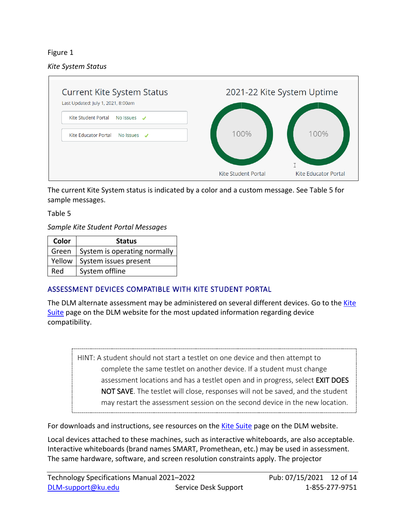#### <span id="page-11-1"></span>Figure 1

#### *Kite System Status*



The current Kite System status is indicated by a color and a custom message. See [Table 5](#page-11-2) for sample messages.

<span id="page-11-2"></span>Table 5

*Sample Kite Student Portal Messages*

| Color  | <b>Status</b>                |
|--------|------------------------------|
| Green  | System is operating normally |
| Yellow | System issues present        |
| Red    | System offline               |

#### <span id="page-11-0"></span>ASSESSMENT DEVICES COMPATIBLE WITH KITE STUDENT PORTAL

The DLM alternate assessment may be administered on several different devices. Go to the [Kite](https://dynamiclearningmaps.org/kite) [Suite](https://dynamiclearningmaps.org/kite) page on the DLM website for the most updated information regarding device compatibility.

HINT: A student should not start a testlet on one device and then attempt to complete the same testlet on another device. If a student must change assessment locations and has a testlet open and in progress, select **EXIT DOES** NOT SAVE. The testlet will close, responses will not be saved, and the student may restart the assessment session on the second device in the new location.

For downloads and instructions, see resources on the [Kite Suite](https://dynamiclearningmaps.org/kite) page on the DLM website.

Local devices attached to these machines, such as interactive whiteboards, are also acceptable. Interactive whiteboards (brand names SMART, Promethean, etc.) may be used in assessment. The same hardware, software, and screen resolution constraints apply. The projector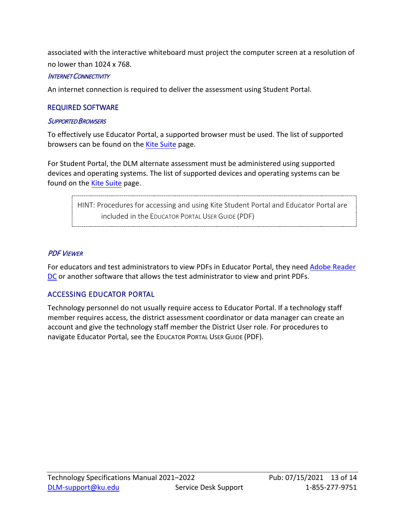associated with the interactive whiteboard must project the computer screen at a resolution of no lower than 1024 x 768.

#### <span id="page-12-0"></span>INTERNET CONNECTIVITY

An internet connection is required to deliver the assessment using Student Portal.

#### <span id="page-12-1"></span>REQUIRED SOFTWARE

#### <span id="page-12-2"></span>SUPPORTED BROWSERS

To effectively use Educator Portal, a supported browser must be used. The list of supported browsers can be found on the [Kite Suite](https://dynamiclearningmaps.org/kite) page.

For Student Portal, the DLM alternate assessment must be administered using supported devices and operating systems. The list of supported devices and operating systems can be found on the [Kite Suite](https://dynamiclearningmaps.org/kite) page.

> HINT: Procedures for accessing and using Kite Student Portal and Educator Portal are included in the EDUCATOR PORTAL USER GUIDE (PDF)

#### <span id="page-12-3"></span>PDF VIEWER

For educators and test administrators to view PDFs in Educator Portal, they need [Adobe Reader](https://www.adobe.com/acrobat/pdf-reader.html)  [DC](https://www.adobe.com/products/) or another software that allows the test administrator to view and print PDFs.

#### <span id="page-12-4"></span>ACCESSING EDUCATOR PORTAL

Technology personnel do not usually require access to Educator Portal. If a technology staff member requires access, the district assessment coordinator or data manager can create an account and give the technology staff member the District User role. For procedures to navigate Educator Portal, see the EDUCATOR PORTAL USER GUIDE (PDF).